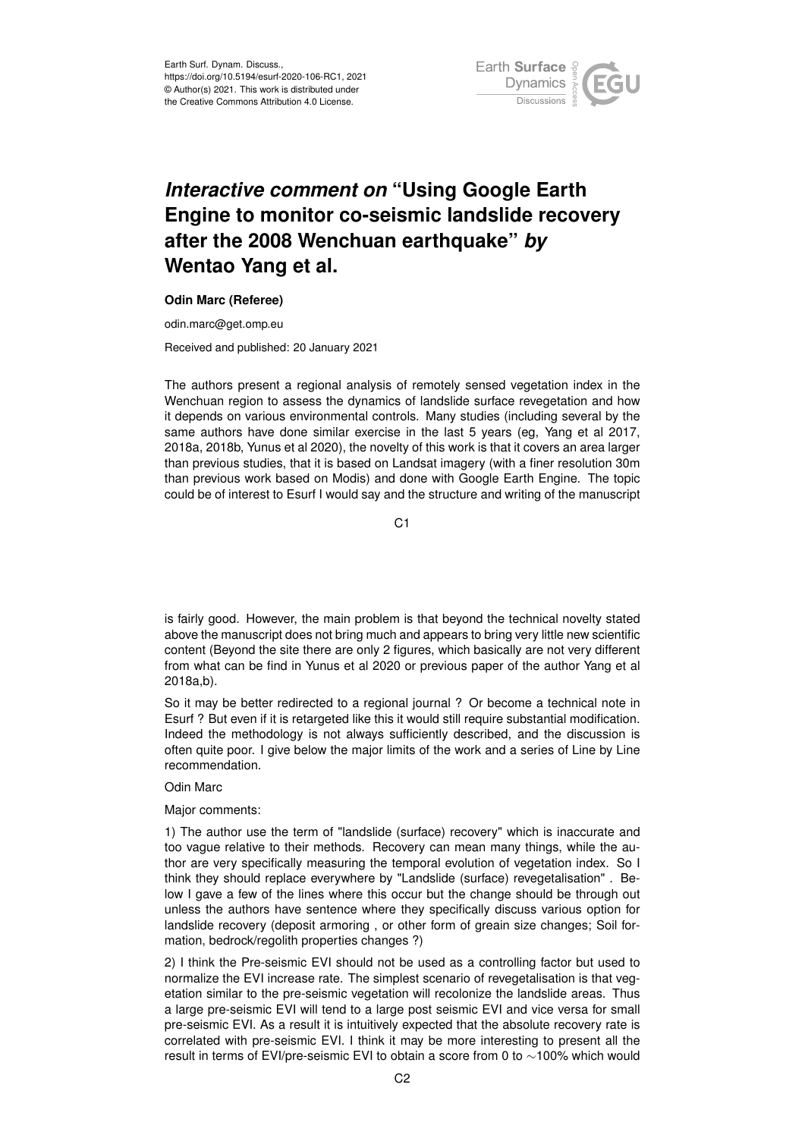

## *Interactive comment on* **"Using Google Earth Engine to monitor co-seismic landslide recovery after the 2008 Wenchuan earthquake"** *by* **Wentao Yang et al.**

## **Odin Marc (Referee)**

odin.marc@get.omp.eu

Received and published: 20 January 2021

The authors present a regional analysis of remotely sensed vegetation index in the Wenchuan region to assess the dynamics of landslide surface revegetation and how it depends on various environmental controls. Many studies (including several by the same authors have done similar exercise in the last 5 years (eg, Yang et al 2017, 2018a, 2018b, Yunus et al 2020), the novelty of this work is that it covers an area larger than previous studies, that it is based on Landsat imagery (with a finer resolution 30m than previous work based on Modis) and done with Google Earth Engine. The topic could be of interest to Esurf I would say and the structure and writing of the manuscript

 $C<sub>1</sub>$ 

is fairly good. However, the main problem is that beyond the technical novelty stated above the manuscript does not bring much and appears to bring very little new scientific content (Beyond the site there are only 2 figures, which basically are not very different from what can be find in Yunus et al 2020 or previous paper of the author Yang et al 2018a,b).

So it may be better redirected to a regional journal ? Or become a technical note in Esurf ? But even if it is retargeted like this it would still require substantial modification. Indeed the methodology is not always sufficiently described, and the discussion is often quite poor. I give below the major limits of the work and a series of Line by Line recommendation.

## Odin Marc

Major comments:

1) The author use the term of "landslide (surface) recovery" which is inaccurate and too vague relative to their methods. Recovery can mean many things, while the author are very specifically measuring the temporal evolution of vegetation index. So I think they should replace everywhere by "Landslide (surface) revegetalisation" . Below I gave a few of the lines where this occur but the change should be through out unless the authors have sentence where they specifically discuss various option for landslide recovery (deposit armoring , or other form of greain size changes; Soil formation, bedrock/regolith properties changes ?)

2) I think the Pre-seismic EVI should not be used as a controlling factor but used to normalize the EVI increase rate. The simplest scenario of revegetalisation is that vegetation similar to the pre-seismic vegetation will recolonize the landslide areas. Thus a large pre-seismic EVI will tend to a large post seismic EVI and vice versa for small pre-seismic EVI. As a result it is intuitively expected that the absolute recovery rate is correlated with pre-seismic EVI. I think it may be more interesting to present all the result in terms of EVI/pre-seismic EVI to obtain a score from 0 to ∼100% which would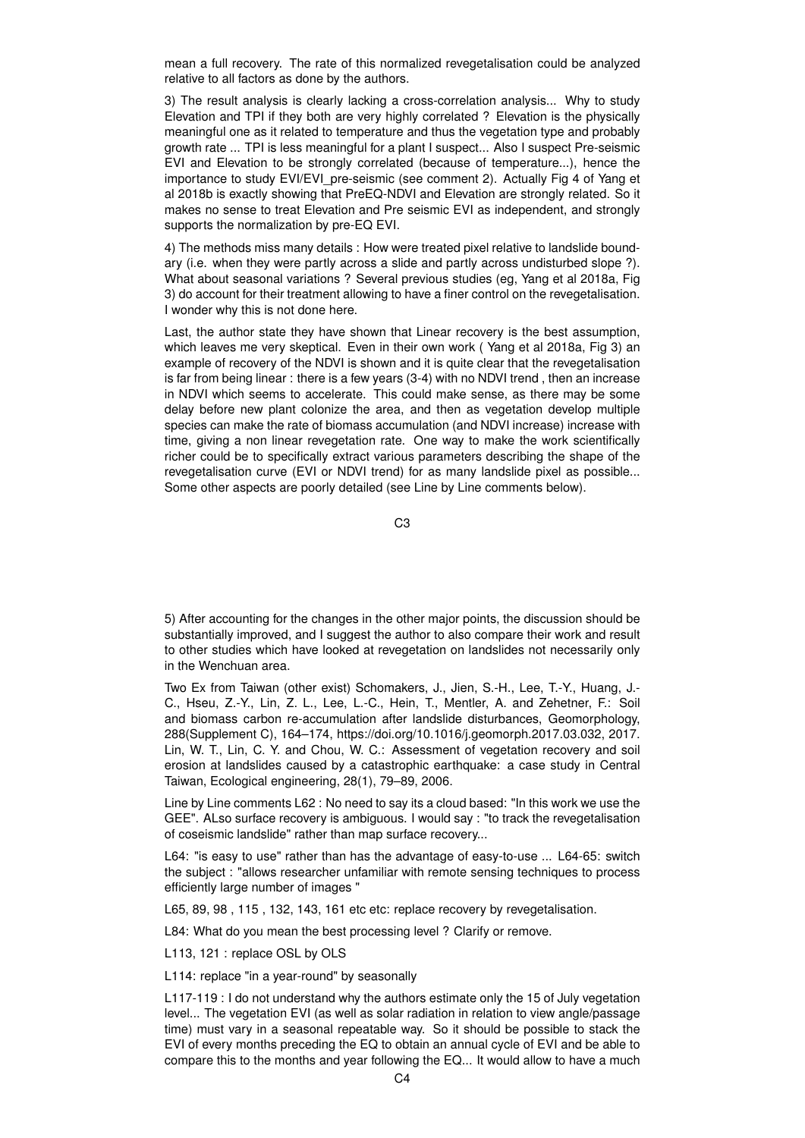mean a full recovery. The rate of this normalized revegetalisation could be analyzed relative to all factors as done by the authors.

3) The result analysis is clearly lacking a cross-correlation analysis... Why to study Elevation and TPI if they both are very highly correlated ? Elevation is the physically meaningful one as it related to temperature and thus the vegetation type and probably growth rate ... TPI is less meaningful for a plant I suspect... Also I suspect Pre-seismic EVI and Elevation to be strongly correlated (because of temperature...), hence the importance to study EVI/EVI pre-seismic (see comment 2). Actually Fig 4 of Yang et al 2018b is exactly showing that PreEQ-NDVI and Elevation are strongly related. So it makes no sense to treat Elevation and Pre seismic EVI as independent, and strongly supports the normalization by pre-EQ EVI.

4) The methods miss many details : How were treated pixel relative to landslide boundary (i.e. when they were partly across a slide and partly across undisturbed slope ?). What about seasonal variations ? Several previous studies (eg, Yang et al 2018a, Fig 3) do account for their treatment allowing to have a finer control on the revegetalisation. I wonder why this is not done here.

Last, the author state they have shown that Linear recovery is the best assumption, which leaves me very skeptical. Even in their own work ( Yang et al 2018a, Fig 3) an example of recovery of the NDVI is shown and it is quite clear that the revegetalisation is far from being linear : there is a few years (3-4) with no NDVI trend , then an increase in NDVI which seems to accelerate. This could make sense, as there may be some delay before new plant colonize the area, and then as vegetation develop multiple species can make the rate of biomass accumulation (and NDVI increase) increase with time, giving a non linear revegetation rate. One way to make the work scientifically richer could be to specifically extract various parameters describing the shape of the revegetalisation curve (EVI or NDVI trend) for as many landslide pixel as possible... Some other aspects are poorly detailed (see Line by Line comments below).

C3

5) After accounting for the changes in the other major points, the discussion should be substantially improved, and I suggest the author to also compare their work and result to other studies which have looked at revegetation on landslides not necessarily only in the Wenchuan area.

Two Ex from Taiwan (other exist) Schomakers, J., Jien, S.-H., Lee, T.-Y., Huang, J.- C., Hseu, Z.-Y., Lin, Z. L., Lee, L.-C., Hein, T., Mentler, A. and Zehetner, F.: Soil and biomass carbon re-accumulation after landslide disturbances, Geomorphology, 288(Supplement C), 164–174, https://doi.org/10.1016/j.geomorph.2017.03.032, 2017. Lin, W. T., Lin, C. Y. and Chou, W. C.: Assessment of vegetation recovery and soil erosion at landslides caused by a catastrophic earthquake: a case study in Central Taiwan, Ecological engineering, 28(1), 79–89, 2006.

Line by Line comments L62 : No need to say its a cloud based: "In this work we use the GEE". ALso surface recovery is ambiguous. I would say : "to track the revegetalisation of coseismic landslide" rather than map surface recovery...

L64: "is easy to use" rather than has the advantage of easy-to-use ... L64-65: switch the subject : "allows researcher unfamiliar with remote sensing techniques to process efficiently large number of images "

L65, 89, 98 , 115 , 132, 143, 161 etc etc: replace recovery by revegetalisation.

L84: What do you mean the best processing level ? Clarify or remove.

L113, 121 : replace OSL by OLS

L114: replace "in a year-round" by seasonally

L117-119 : I do not understand why the authors estimate only the 15 of July vegetation level... The vegetation EVI (as well as solar radiation in relation to view angle/passage time) must vary in a seasonal repeatable way. So it should be possible to stack the EVI of every months preceding the EQ to obtain an annual cycle of EVI and be able to compare this to the months and year following the EQ... It would allow to have a much